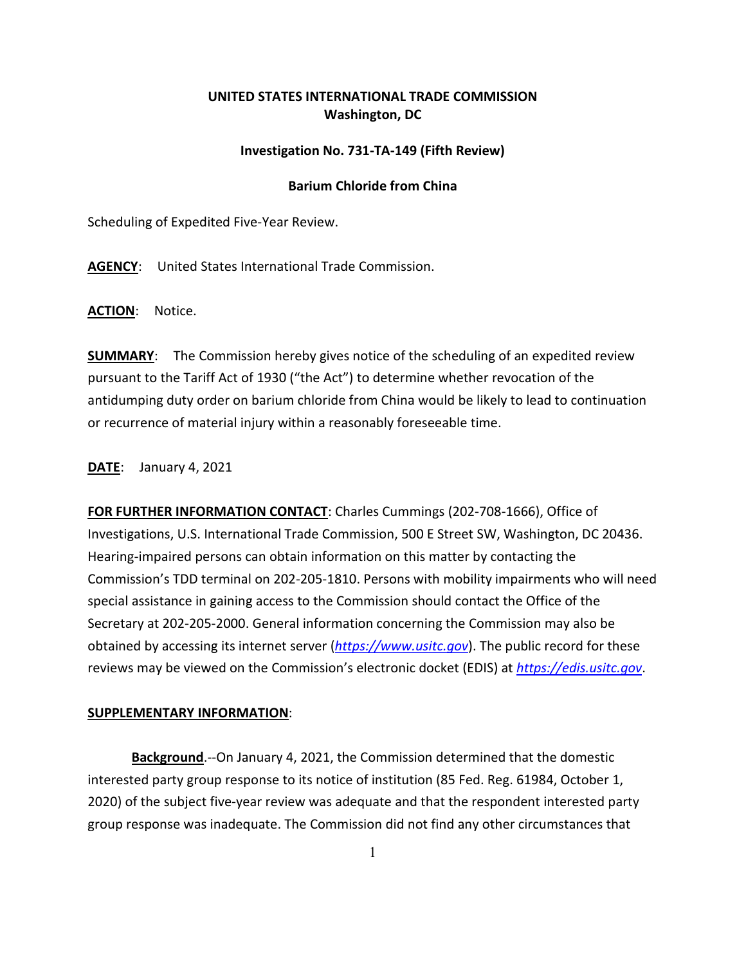## **UNITED STATES INTERNATIONAL TRADE COMMISSION Washington, DC**

## **Investigation No. 731-TA-149 (Fifth Review)**

## **Barium Chloride from China**

Scheduling of Expedited Five-Year Review.

**AGENCY**: United States International Trade Commission.

**ACTION**: Notice.

**SUMMARY**: The Commission hereby gives notice of the scheduling of an expedited review pursuant to the Tariff Act of 1930 ("the Act") to determine whether revocation of the antidumping duty order on barium chloride from China would be likely to lead to continuation or recurrence of material injury within a reasonably foreseeable time.

**DATE**: January 4, 2021

**FOR FURTHER INFORMATION CONTACT**: Charles Cummings (202-708-1666), Office of Investigations, U.S. International Trade Commission, 500 E Street SW, Washington, DC 20436. Hearing-impaired persons can obtain information on this matter by contacting the Commission's TDD terminal on 202-205-1810. Persons with mobility impairments who will need special assistance in gaining access to the Commission should contact the Office of the Secretary at 202-205-2000. General information concerning the Commission may also be obtained by accessing its internet server (*[https://www.usitc.gov](https://www.usitc.gov/)*). The public record for these reviews may be viewed on the Commission's electronic docket (EDIS) at *[https://edis.usitc.gov](https://edis.usitc.gov/)*.

## **SUPPLEMENTARY INFORMATION**:

**Background**.--On January 4, 2021, the Commission determined that the domestic interested party group response to its notice of institution (85 Fed. Reg. 61984, October 1, 2020) of the subject five-year review was adequate and that the respondent interested party group response was inadequate. The Commission did not find any other circumstances that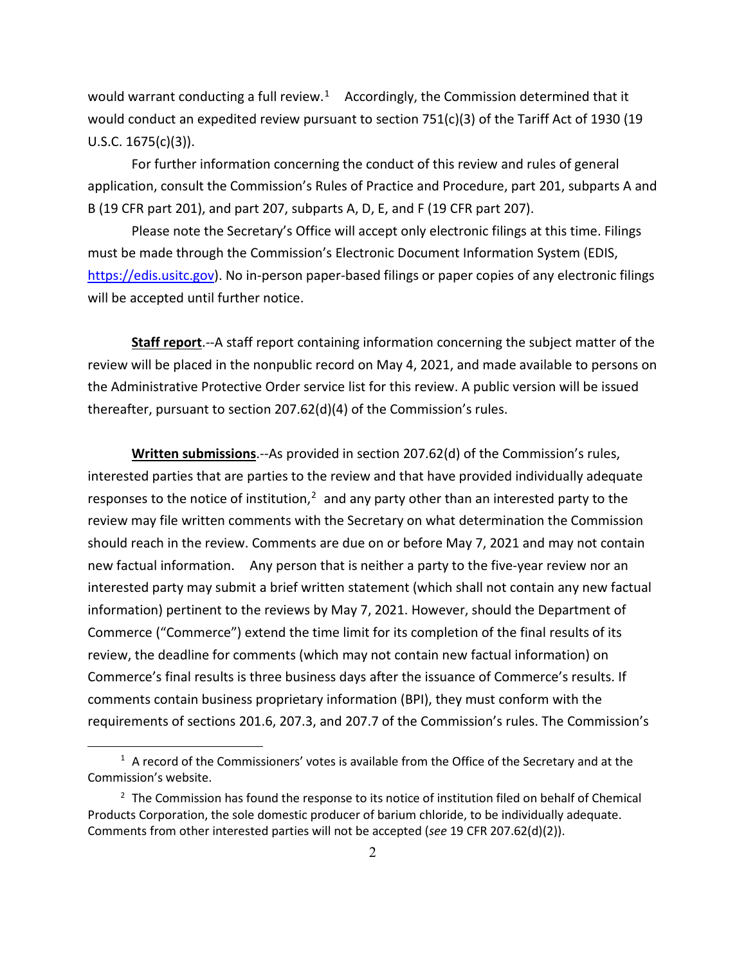would warrant conducting a full review.<sup>[1](#page-1-0)</sup> Accordingly, the Commission determined that it would conduct an expedited review pursuant to section 751(c)(3) of the Tariff Act of 1930 (19 U.S.C. 1675(c)(3)).

For further information concerning the conduct of this review and rules of general application, consult the Commission's Rules of Practice and Procedure, part 201, subparts A and B (19 CFR part 201), and part 207, subparts A, D, E, and F (19 CFR part 207).

Please note the Secretary's Office will accept only electronic filings at this time. Filings must be made through the Commission's Electronic Document Information System (EDIS, [https://edis.usitc.gov\)](https://edis.usitc.gov/). No in-person paper-based filings or paper copies of any electronic filings will be accepted until further notice.

**Staff report**.--A staff report containing information concerning the subject matter of the review will be placed in the nonpublic record on May 4, 2021, and made available to persons on the Administrative Protective Order service list for this review. A public version will be issued thereafter, pursuant to section 207.62(d)(4) of the Commission's rules.

**Written submissions**.--As provided in section 207.62(d) of the Commission's rules, interested parties that are parties to the review and that have provided individually adequate responses to the notice of institution, $2$  and any party other than an interested party to the review may file written comments with the Secretary on what determination the Commission should reach in the review. Comments are due on or before May 7, 2021 and may not contain new factual information. Any person that is neither a party to the five-year review nor an interested party may submit a brief written statement (which shall not contain any new factual information) pertinent to the reviews by May 7, 2021. However, should the Department of Commerce ("Commerce") extend the time limit for its completion of the final results of its review, the deadline for comments (which may not contain new factual information) on Commerce's final results is three business days after the issuance of Commerce's results. If comments contain business proprietary information (BPI), they must conform with the requirements of sections 201.6, 207.3, and 207.7 of the Commission's rules. The Commission's

<span id="page-1-0"></span> $1$  A record of the Commissioners' votes is available from the Office of the Secretary and at the Commission's website.

<span id="page-1-1"></span> $2$  The Commission has found the response to its notice of institution filed on behalf of Chemical Products Corporation, the sole domestic producer of barium chloride, to be individually adequate. Comments from other interested parties will not be accepted (*see* 19 CFR 207.62(d)(2)).